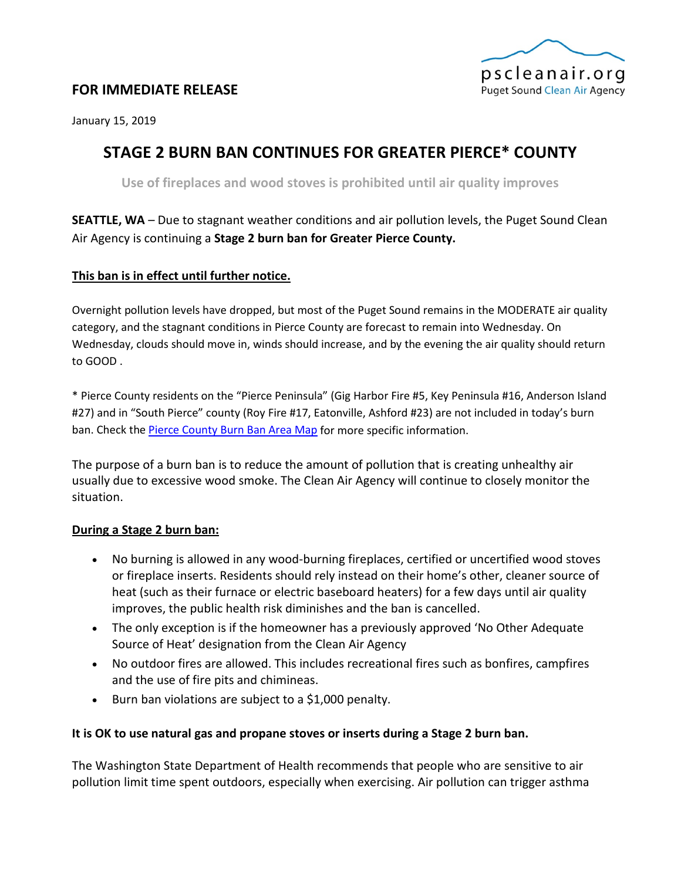

## **FOR IMMEDIATE RELEASE**

January 15, 2019

# **STAGE 2 BURN BAN CONTINUES FOR GREATER PIERCE\* COUNTY**

**Use of fireplaces and wood stoves is prohibited until air quality improves**

**SEATTLE, WA** – Due to stagnant weather conditions and air pollution levels, the Puget Sound Clean Air Agency is continuing a **Stage 2 burn ban for Greater Pierce County.**

## **This ban is in effect until further notice.**

Overnight pollution levels have dropped, but most of the Puget Sound remains in the MODERATE air quality category, and the stagnant conditions in Pierce County are forecast to remain into Wednesday. On Wednesday, clouds should move in, winds should increase, and by the evening the air quality should return to GOOD .

\* Pierce County residents on the "Pierce Peninsula" (Gig Harbor Fire #5, Key Peninsula #16, Anderson Island #27) and in "South Pierce" county (Roy Fire #17, Eatonville, Ashford #23) are not included in today's burn ban. Check th[e Pierce County Burn Ban Area Map](https://www.google.com/maps/d/viewer?mid=zmvqFrfm-cro.kweEx2mXIOyE) for more specific information.

The purpose of a burn ban is to reduce the amount of pollution that is creating unhealthy air usually due to excessive wood smoke. The Clean Air Agency will continue to closely monitor the situation.

### **During a Stage 2 burn ban:**

- No burning is allowed in any wood-burning fireplaces, certified or uncertified wood stoves or fireplace inserts. Residents should rely instead on their home's other, cleaner source of heat (such as their furnace or electric baseboard heaters) for a few days until air quality improves, the public health risk diminishes and the ban is cancelled.
- The only exception is if the homeowner has a previously approved 'No Other Adequate Source of Heat' designation from the Clean Air Agency
- No outdoor fires are allowed. This includes recreational fires such as bonfires, campfires and the use of fire pits and chimineas.
- Burn ban violations are subject to a \$1,000 penalty.

### **It is OK to use natural gas and propane stoves or inserts during a Stage 2 burn ban.**

The Washington State Department of Health recommends that people who are sensitive to air pollution limit time spent outdoors, especially when exercising. Air pollution can trigger asthma